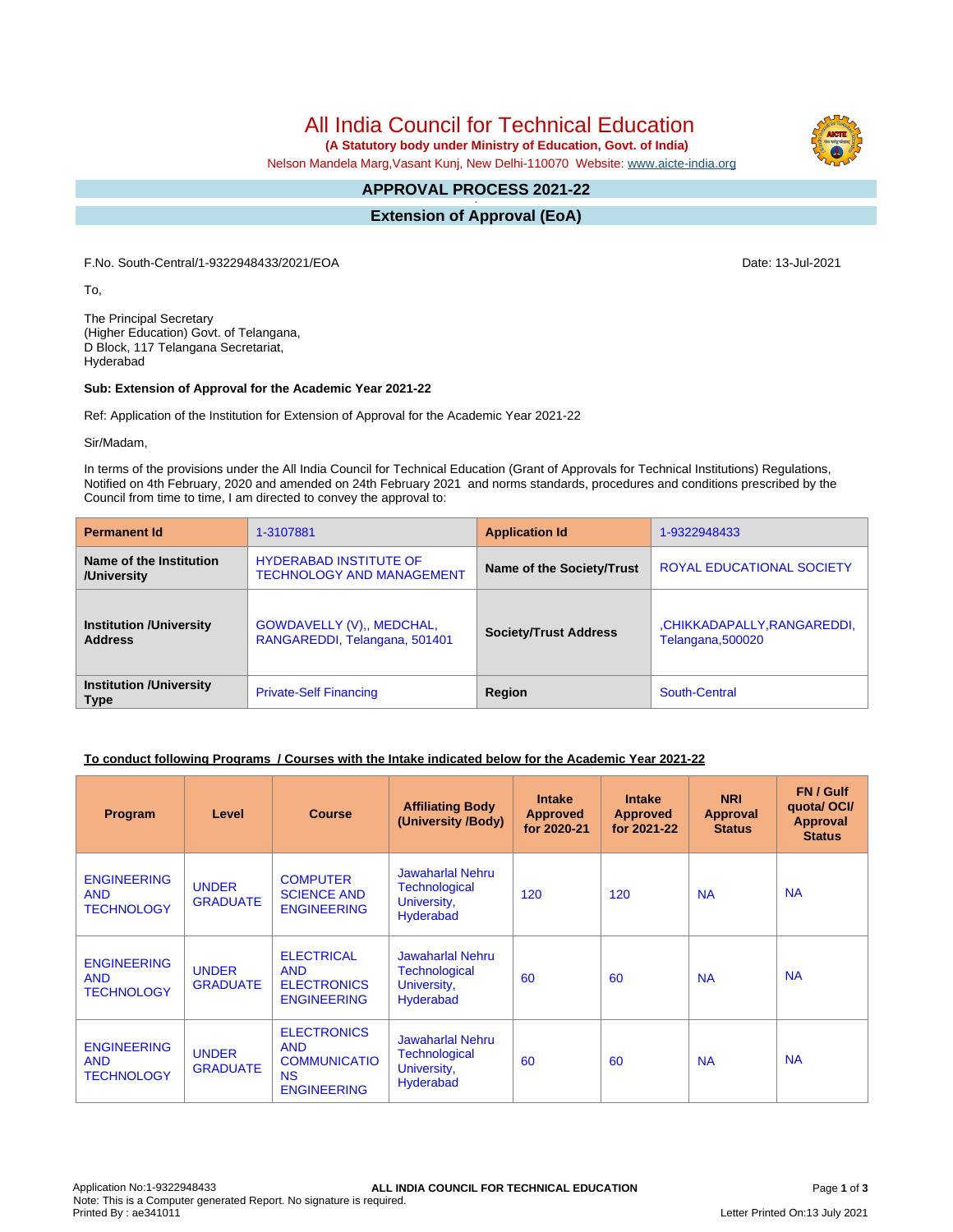**(A Statutory body under Ministry of Education, Govt. of India)**

Nelson Mandela Marg,Vasant Kunj, New Delhi-110070 Website: [www.aicte-india.org](http://www.aicte-india.org)

#### **APPROVAL PROCESS 2021-22 -**

**Extension of Approval (EoA)**

F.No. South-Central/1-9322948433/2021/EOA Date: 13-Jul-2021

To,

The Principal Secretary (Higher Education) Govt. of Telangana, D Block, 117 Telangana Secretariat, Hyderabad

## **Sub: Extension of Approval for the Academic Year 2021-22**

Ref: Application of the Institution for Extension of Approval for the Academic Year 2021-22

Sir/Madam,

In terms of the provisions under the All India Council for Technical Education (Grant of Approvals for Technical Institutions) Regulations, Notified on 4th February, 2020 and amended on 24th February 2021 and norms standards, procedures and conditions prescribed by the Council from time to time, I am directed to convey the approval to:

| <b>Permanent Id</b>                              | 1-3107881                                                         | <b>Application Id</b>        | 1-9322948433                                    |
|--------------------------------------------------|-------------------------------------------------------------------|------------------------------|-------------------------------------------------|
| Name of the Institution<br>/University           | <b>HYDERABAD INSTITUTE OF</b><br><b>TECHNOLOGY AND MANAGEMENT</b> | Name of the Society/Trust    | <b>ROYAL EDUCATIONAL SOCIETY</b>                |
| <b>Institution /University</b><br><b>Address</b> | GOWDAVELLY (V),, MEDCHAL,<br>RANGAREDDI, Telangana, 501401        | <b>Society/Trust Address</b> | ,CHIKKADAPALLY,RANGAREDDI,<br>Telangana, 500020 |
| <b>Institution /University</b><br><b>Type</b>    | <b>Private-Self Financing</b>                                     | Region                       | South-Central                                   |

## **To conduct following Programs / Courses with the Intake indicated below for the Academic Year 2021-22**

| Program                                               | Level                           | <b>Course</b>                                                                              | <b>Affiliating Body</b><br>(University /Body)                                      | <b>Intake</b><br><b>Approved</b><br>for 2020-21 | <b>Intake</b><br><b>Approved</b><br>for 2021-22 | <b>NRI</b><br><b>Approval</b><br><b>Status</b> | FN / Gulf<br>quotal OCI/<br><b>Approval</b><br><b>Status</b> |
|-------------------------------------------------------|---------------------------------|--------------------------------------------------------------------------------------------|------------------------------------------------------------------------------------|-------------------------------------------------|-------------------------------------------------|------------------------------------------------|--------------------------------------------------------------|
| <b>ENGINEERING</b><br><b>AND</b><br><b>TECHNOLOGY</b> | <b>UNDER</b><br><b>GRADUATE</b> | <b>COMPUTER</b><br><b>SCIENCE AND</b><br><b>ENGINEERING</b>                                | Jawaharlal Nehru<br><b>Technological</b><br>University,<br><b>Hyderabad</b>        | 120                                             | 120                                             | <b>NA</b>                                      | <b>NA</b>                                                    |
| <b>ENGINEERING</b><br><b>AND</b><br><b>TECHNOLOGY</b> | <b>UNDER</b><br><b>GRADUATE</b> | <b>ELECTRICAL</b><br><b>AND</b><br><b>ELECTRONICS</b><br><b>ENGINEERING</b>                | Jawaharlal Nehru<br>Technological<br>University,<br>Hyderabad                      | 60                                              | 60                                              | <b>NA</b>                                      | <b>NA</b>                                                    |
| <b>ENGINEERING</b><br><b>AND</b><br><b>TECHNOLOGY</b> | <b>UNDER</b><br><b>GRADUATE</b> | <b>ELECTRONICS</b><br><b>AND</b><br><b>COMMUNICATIO</b><br><b>NS</b><br><b>ENGINEERING</b> | <b>Jawaharlal Nehru</b><br><b>Technological</b><br>University,<br><b>Hyderabad</b> | 60                                              | 60                                              | <b>NA</b>                                      | <b>NA</b>                                                    |

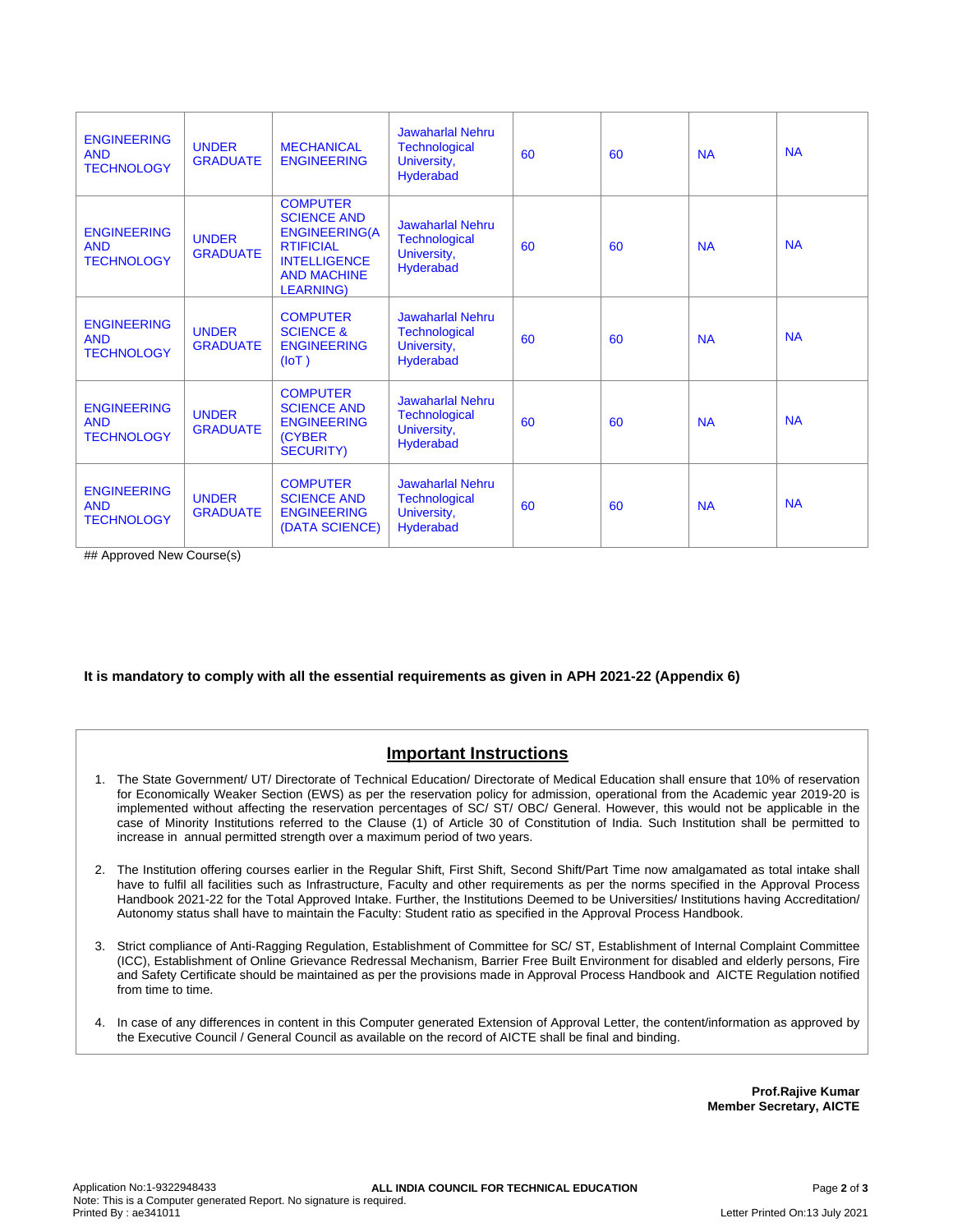| <b>ENGINEERING</b><br><b>AND</b><br><b>TECHNOLOGY</b> | <b>UNDER</b><br><b>GRADUATE</b> | <b>MECHANICAL</b><br><b>ENGINEERING</b>                                                                                                             | <b>Jawaharlal Nehru</b><br><b>Technological</b><br>University,<br>Hyderabad        | 60 | 60 | <b>NA</b> | <b>NA</b> |
|-------------------------------------------------------|---------------------------------|-----------------------------------------------------------------------------------------------------------------------------------------------------|------------------------------------------------------------------------------------|----|----|-----------|-----------|
| <b>ENGINEERING</b><br><b>AND</b><br><b>TECHNOLOGY</b> | <b>UNDER</b><br><b>GRADUATE</b> | <b>COMPUTER</b><br><b>SCIENCE AND</b><br><b>ENGINEERING(A</b><br><b>RTIFICIAL</b><br><b>INTELLIGENCE</b><br><b>AND MACHINE</b><br><b>LEARNING</b> ) | <b>Jawaharlal Nehru</b><br><b>Technological</b><br>University,<br>Hyderabad        | 60 | 60 | <b>NA</b> | <b>NA</b> |
| <b>ENGINEERING</b><br><b>AND</b><br><b>TECHNOLOGY</b> | <b>UNDER</b><br><b>GRADUATE</b> | <b>COMPUTER</b><br><b>SCIENCE &amp;</b><br><b>ENGINEERING</b><br>(IOT)                                                                              | <b>Jawaharlal Nehru</b><br><b>Technological</b><br>University,<br>Hyderabad        | 60 | 60 | <b>NA</b> | <b>NA</b> |
| <b>ENGINEERING</b><br><b>AND</b><br><b>TECHNOLOGY</b> | <b>UNDER</b><br><b>GRADUATE</b> | <b>COMPUTER</b><br><b>SCIENCE AND</b><br><b>ENGINEERING</b><br><b>(CYBER)</b><br><b>SECURITY)</b>                                                   | <b>Jawaharlal Nehru</b><br><b>Technological</b><br>University,<br>Hyderabad        | 60 | 60 | <b>NA</b> | <b>NA</b> |
| <b>ENGINEERING</b><br><b>AND</b><br><b>TECHNOLOGY</b> | <b>UNDER</b><br><b>GRADUATE</b> | <b>COMPUTER</b><br><b>SCIENCE AND</b><br><b>ENGINEERING</b><br>(DATA SCIENCE)                                                                       | <b>Jawaharlal Nehru</b><br><b>Technological</b><br>University,<br><b>Hyderabad</b> | 60 | 60 | <b>NA</b> | <b>NA</b> |

## Approved New Course(s)

**It is mandatory to comply with all the essential requirements as given in APH 2021-22 (Appendix 6)**

## **Important Instructions**

- 1. The State Government/ UT/ Directorate of Technical Education/ Directorate of Medical Education shall ensure that 10% of reservation for Economically Weaker Section (EWS) as per the reservation policy for admission, operational from the Academic year 2019-20 is implemented without affecting the reservation percentages of SC/ ST/ OBC/ General. However, this would not be applicable in the case of Minority Institutions referred to the Clause (1) of Article 30 of Constitution of India. Such Institution shall be permitted to increase in annual permitted strength over a maximum period of two years.
- 2. The Institution offering courses earlier in the Regular Shift, First Shift, Second Shift/Part Time now amalgamated as total intake shall have to fulfil all facilities such as Infrastructure, Faculty and other requirements as per the norms specified in the Approval Process Handbook 2021-22 for the Total Approved Intake. Further, the Institutions Deemed to be Universities/ Institutions having Accreditation/ Autonomy status shall have to maintain the Faculty: Student ratio as specified in the Approval Process Handbook.
- 3. Strict compliance of Anti-Ragging Regulation, Establishment of Committee for SC/ ST, Establishment of Internal Complaint Committee (ICC), Establishment of Online Grievance Redressal Mechanism, Barrier Free Built Environment for disabled and elderly persons, Fire and Safety Certificate should be maintained as per the provisions made in Approval Process Handbook and AICTE Regulation notified from time to time.
- 4. In case of any differences in content in this Computer generated Extension of Approval Letter, the content/information as approved by the Executive Council / General Council as available on the record of AICTE shall be final and binding.

**Prof.Rajive Kumar Member Secretary, AICTE**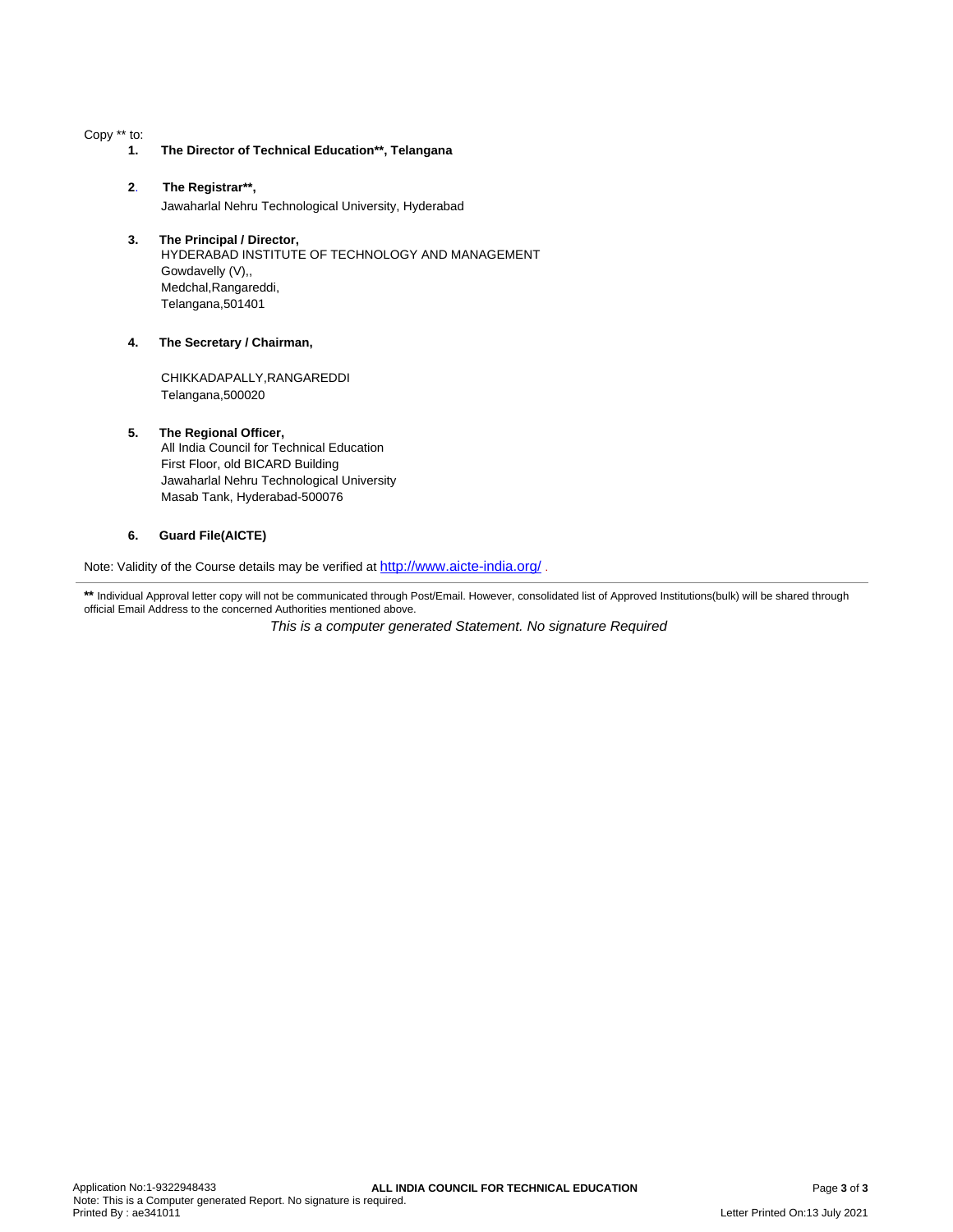Copy \*\* to:

- **1. The Director of Technical Education\*\*, Telangana**
- **2**. **The Registrar\*\*,** Jawaharlal Nehru Technological University, Hyderabad
- **3. The Principal / Director,** HYDERABAD INSTITUTE OF TECHNOLOGY AND MANAGEMENT Gowdavelly (V),, Medchal,Rangareddi, Telangana,501401

## **4. The Secretary / Chairman,**

CHIKKADAPALLY,RANGAREDDI Telangana,500020

### **5. The Regional Officer,**

All India Council for Technical Education First Floor, old BICARD Building Jawaharlal Nehru Technological University Masab Tank, Hyderabad-500076

## **6. Guard File(AICTE)**

Note: Validity of the Course details may be verified at <http://www.aicte-india.org/> **.**

\*\* Individual Approval letter copy will not be communicated through Post/Email. However, consolidated list of Approved Institutions(bulk) will be shared through official Email Address to the concerned Authorities mentioned above.

This is a computer generated Statement. No signature Required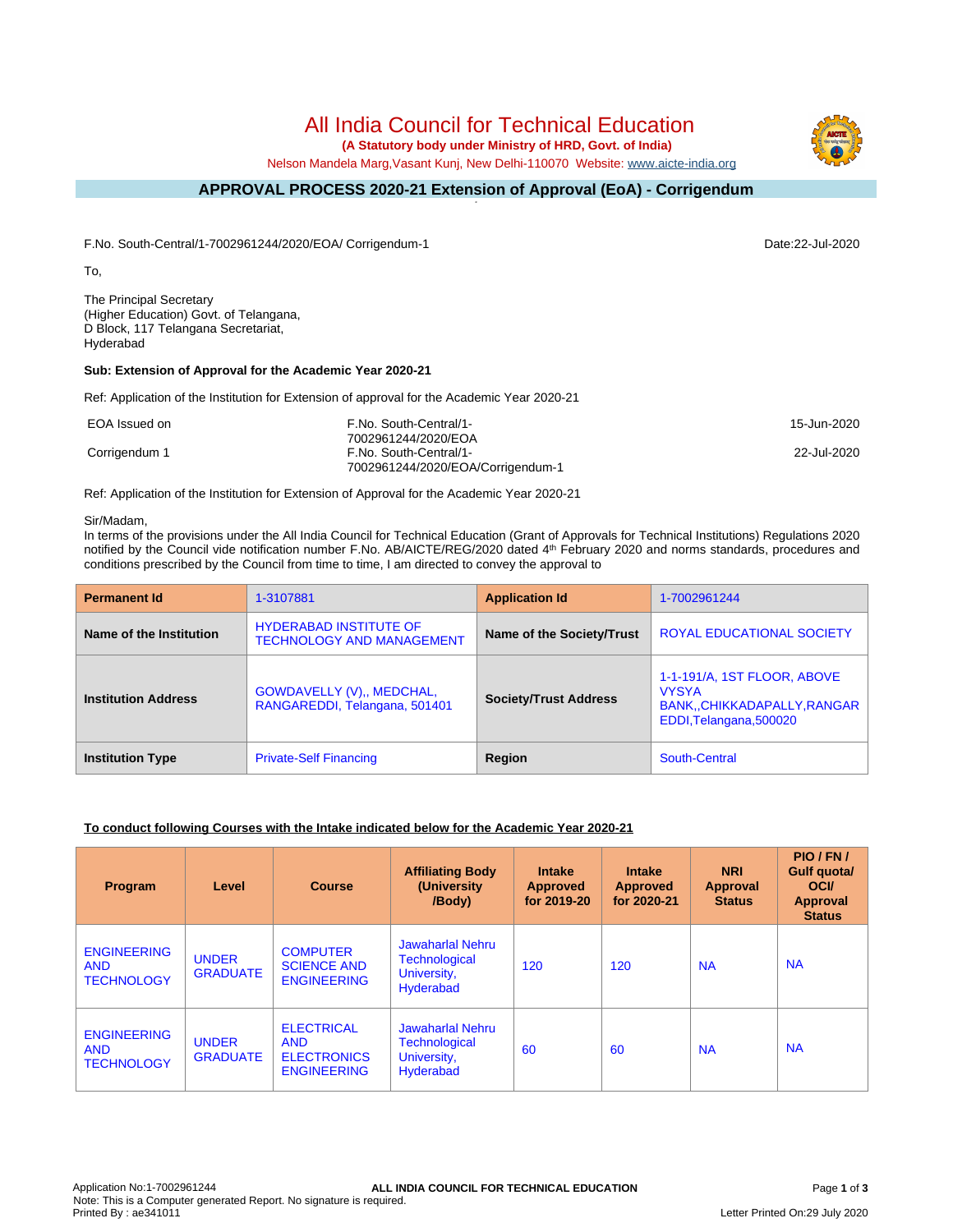**(A Statutory body under Ministry of HRD, Govt. of India)**

Nelson Mandela Marg,Vasant Kunj, New Delhi-110070 Website: [www.aicte-india.org](http://www.aicte-india.org)

#### **APPROVAL PROCESS 2020-21 Extension of Approval (EoA) - Corrigendum -**

F.No. South-Central/1-7002961244/2020/EOA/ Corrigendum-1 Date:22-Jul-2020

To,

The Principal Secretary (Higher Education) Govt. of Telangana, D Block, 117 Telangana Secretariat, Hyderabad

## **Sub: Extension of Approval for the Academic Year 2020-21**

Ref: Application of the Institution for Extension of approval for the Academic Year 2020-21

| EOA Issued on | F.No. South-Central/1-            | 15-Jun-2020 |
|---------------|-----------------------------------|-------------|
|               | 7002961244/2020/EOA               |             |
| Corrigendum 1 | F.No. South-Central/1-            | 22-Jul-2020 |
|               | 7002961244/2020/EOA/Corrigendum-1 |             |

Ref: Application of the Institution for Extension of Approval for the Academic Year 2020-21

### Sir/Madam,

In terms of the provisions under the All India Council for Technical Education (Grant of Approvals for Technical Institutions) Regulations 2020 notified by the Council vide notification number F.No. AB/AICTE/REG/2020 dated 4<sup>th</sup> February 2020 and norms standards, procedures and conditions prescribed by the Council from time to time, I am directed to convey the approval to

| <b>Permanent Id</b>        | 1-3107881                                                         | <b>Application Id</b>        | 1-7002961244                                                                                          |
|----------------------------|-------------------------------------------------------------------|------------------------------|-------------------------------------------------------------------------------------------------------|
| Name of the Institution    | <b>HYDERABAD INSTITUTE OF</b><br><b>TECHNOLOGY AND MANAGEMENT</b> | Name of the Society/Trust    | <b>ROYAL EDUCATIONAL SOCIETY</b>                                                                      |
| <b>Institution Address</b> | GOWDAVELLY (V),, MEDCHAL,<br>RANGAREDDI, Telangana, 501401        | <b>Society/Trust Address</b> | 1-1-191/A, 1ST FLOOR, ABOVE<br><b>VYSYA</b><br>BANK, CHIKKADAPALLY, RANGAR<br>EDDI, Telangana, 500020 |
| <b>Institution Type</b>    | <b>Private-Self Financing</b>                                     | Region                       | South-Central                                                                                         |

## **To conduct following Courses with the Intake indicated below for the Academic Year 2020-21**

| Program                                               | Level                           | <b>Course</b>                                                               | <b>Affiliating Body</b><br>(University)<br>/Body)                    | <b>Intake</b><br><b>Approved</b><br>for 2019-20 | <b>Intake</b><br><b>Approved</b><br>for 2020-21 | <b>NRI</b><br>Approval<br><b>Status</b> | PIO/FN/<br><b>Gulf quotal</b><br><b>OCI</b><br><b>Approval</b><br><b>Status</b> |
|-------------------------------------------------------|---------------------------------|-----------------------------------------------------------------------------|----------------------------------------------------------------------|-------------------------------------------------|-------------------------------------------------|-----------------------------------------|---------------------------------------------------------------------------------|
| <b>ENGINEERING</b><br><b>AND</b><br><b>TECHNOLOGY</b> | <b>UNDER</b><br><b>GRADUATE</b> | <b>COMPUTER</b><br><b>SCIENCE AND</b><br><b>ENGINEERING</b>                 | Jawaharlal Nehru<br>Technological<br>University,<br>Hyderabad        | 120                                             | 120                                             | <b>NA</b>                               | <b>NA</b>                                                                       |
| <b>ENGINEERING</b><br><b>AND</b><br><b>TECHNOLOGY</b> | <b>UNDER</b><br><b>GRADUATE</b> | <b>ELECTRICAL</b><br><b>AND</b><br><b>ELECTRONICS</b><br><b>ENGINEERING</b> | Jawaharlal Nehru<br><b>Technological</b><br>University,<br>Hyderabad | 60                                              | 60                                              | <b>NA</b>                               | <b>NA</b>                                                                       |

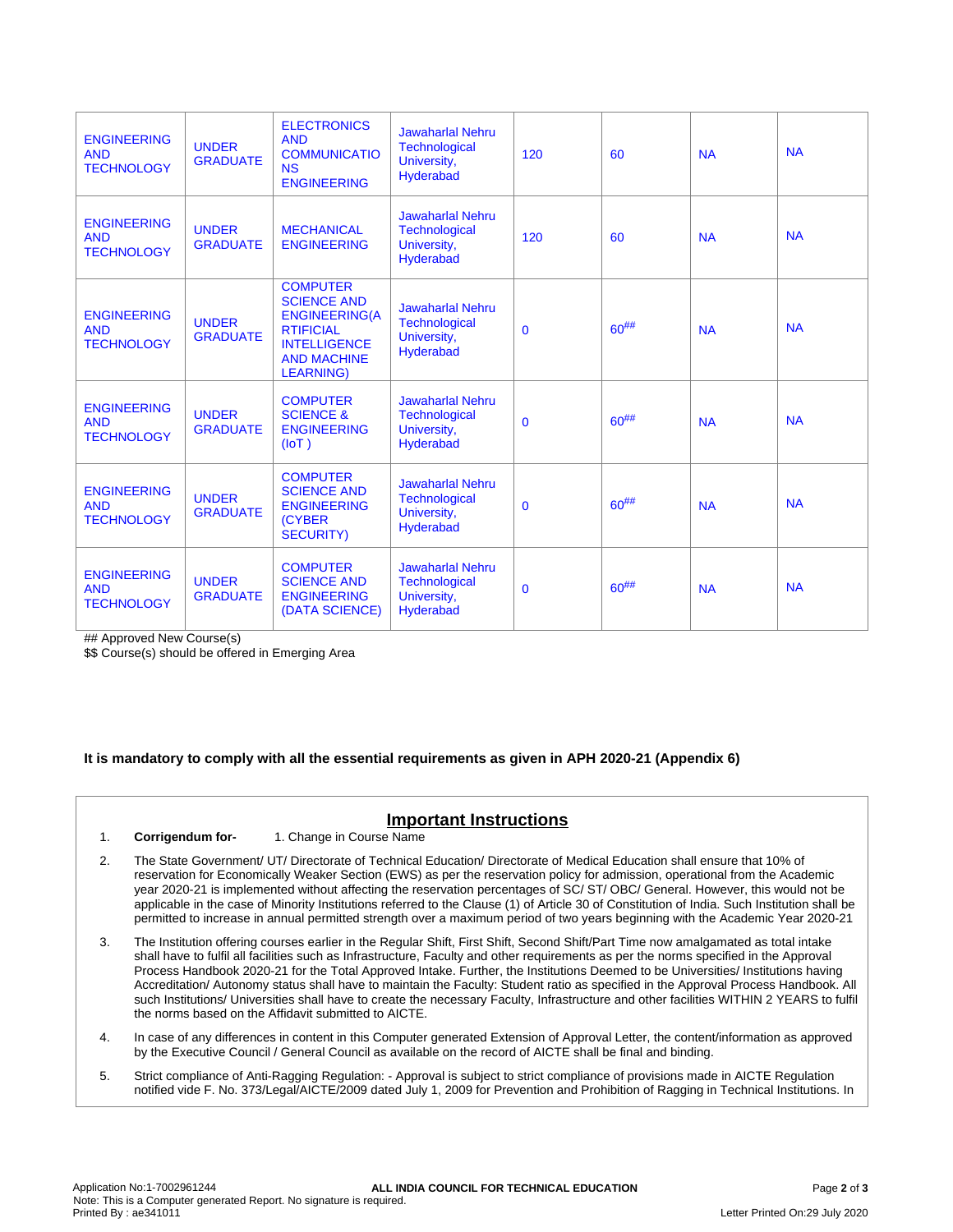| <b>ENGINEERING</b><br><b>AND</b><br><b>TECHNOLOGY</b> | <b>UNDER</b><br><b>GRADUATE</b> | <b>ELECTRONICS</b><br><b>AND</b><br><b>COMMUNICATIO</b><br><b>NS</b><br><b>ENGINEERING</b>                                                         | <b>Jawaharlal Nehru</b><br><b>Technological</b><br>University,<br><b>Hyderabad</b> | 120          | 60         | <b>NA</b> | <b>NA</b> |
|-------------------------------------------------------|---------------------------------|----------------------------------------------------------------------------------------------------------------------------------------------------|------------------------------------------------------------------------------------|--------------|------------|-----------|-----------|
| <b>ENGINEERING</b><br><b>AND</b><br><b>TECHNOLOGY</b> | <b>UNDER</b><br><b>GRADUATE</b> | <b>MECHANICAL</b><br><b>ENGINEERING</b>                                                                                                            | <b>Jawaharlal Nehru</b><br><b>Technological</b><br>University,<br><b>Hyderabad</b> | 120          | 60         | <b>NA</b> | <b>NA</b> |
| <b>ENGINEERING</b><br><b>AND</b><br><b>TECHNOLOGY</b> | <b>UNDER</b><br><b>GRADUATE</b> | <b>COMPUTER</b><br><b>SCIENCE AND</b><br><b>ENGINEERING(A</b><br><b>RTIFICIAL</b><br><b>INTELLIGENCE</b><br><b>AND MACHINE</b><br><b>LEARNING)</b> | <b>Jawaharlal Nehru</b><br><b>Technological</b><br>University,<br><b>Hyderabad</b> | $\mathbf{0}$ | $60^{#}\%$ | <b>NA</b> | <b>NA</b> |
| <b>ENGINEERING</b><br><b>AND</b><br><b>TECHNOLOGY</b> | <b>UNDER</b><br><b>GRADUATE</b> | <b>COMPUTER</b><br><b>SCIENCE &amp;</b><br><b>ENGINEERING</b><br>(IOT)                                                                             | <b>Jawaharlal Nehru</b><br><b>Technological</b><br>University,<br><b>Hyderabad</b> | $\mathbf{0}$ | $60^{#}\%$ | <b>NA</b> | <b>NA</b> |
| <b>ENGINEERING</b><br><b>AND</b><br><b>TECHNOLOGY</b> | <b>UNDER</b><br><b>GRADUATE</b> | <b>COMPUTER</b><br><b>SCIENCE AND</b><br><b>ENGINEERING</b><br><b>(CYBER)</b><br><b>SECURITY)</b>                                                  | <b>Jawaharlal Nehru</b><br><b>Technological</b><br>University,<br><b>Hyderabad</b> | $\mathbf{0}$ | $60^{#}\%$ | <b>NA</b> | <b>NA</b> |
| <b>ENGINEERING</b><br><b>AND</b><br><b>TECHNOLOGY</b> | <b>UNDER</b><br><b>GRADUATE</b> | <b>COMPUTER</b><br><b>SCIENCE AND</b><br><b>ENGINEERING</b><br>(DATA SCIENCE)                                                                      | <b>Jawaharlal Nehru</b><br><b>Technological</b><br>University,<br><b>Hyderabad</b> | $\mathbf{0}$ | $60^{#}\%$ | <b>NA</b> | <b>NA</b> |

## Approved New Course(s)

\$\$ Course(s) should be offered in Emerging Area

## **It is mandatory to comply with all the essential requirements as given in APH 2020-21 (Appendix 6)**

## **Important Instructions**

1. **Corrigendum for-** 1. Change in Course Name

- 2. The State Government/ UT/ Directorate of Technical Education/ Directorate of Medical Education shall ensure that 10% of reservation for Economically Weaker Section (EWS) as per the reservation policy for admission, operational from the Academic year 2020-21 is implemented without affecting the reservation percentages of SC/ ST/ OBC/ General. However, this would not be applicable in the case of Minority Institutions referred to the Clause (1) of Article 30 of Constitution of India. Such Institution shall be permitted to increase in annual permitted strength over a maximum period of two years beginning with the Academic Year 2020-21
- 3. The Institution offering courses earlier in the Regular Shift, First Shift, Second Shift/Part Time now amalgamated as total intake shall have to fulfil all facilities such as Infrastructure, Faculty and other requirements as per the norms specified in the Approval Process Handbook 2020-21 for the Total Approved Intake. Further, the Institutions Deemed to be Universities/ Institutions having Accreditation/ Autonomy status shall have to maintain the Faculty: Student ratio as specified in the Approval Process Handbook. All such Institutions/ Universities shall have to create the necessary Faculty, Infrastructure and other facilities WITHIN 2 YEARS to fulfil the norms based on the Affidavit submitted to AICTE.
- 4. In case of any differences in content in this Computer generated Extension of Approval Letter, the content/information as approved by the Executive Council / General Council as available on the record of AICTE shall be final and binding.
- 5. Strict compliance of Anti-Ragging Regulation: Approval is subject to strict compliance of provisions made in AICTE Regulation notified vide F. No. 373/Legal/AICTE/2009 dated July 1, 2009 for Prevention and Prohibition of Ragging in Technical Institutions. In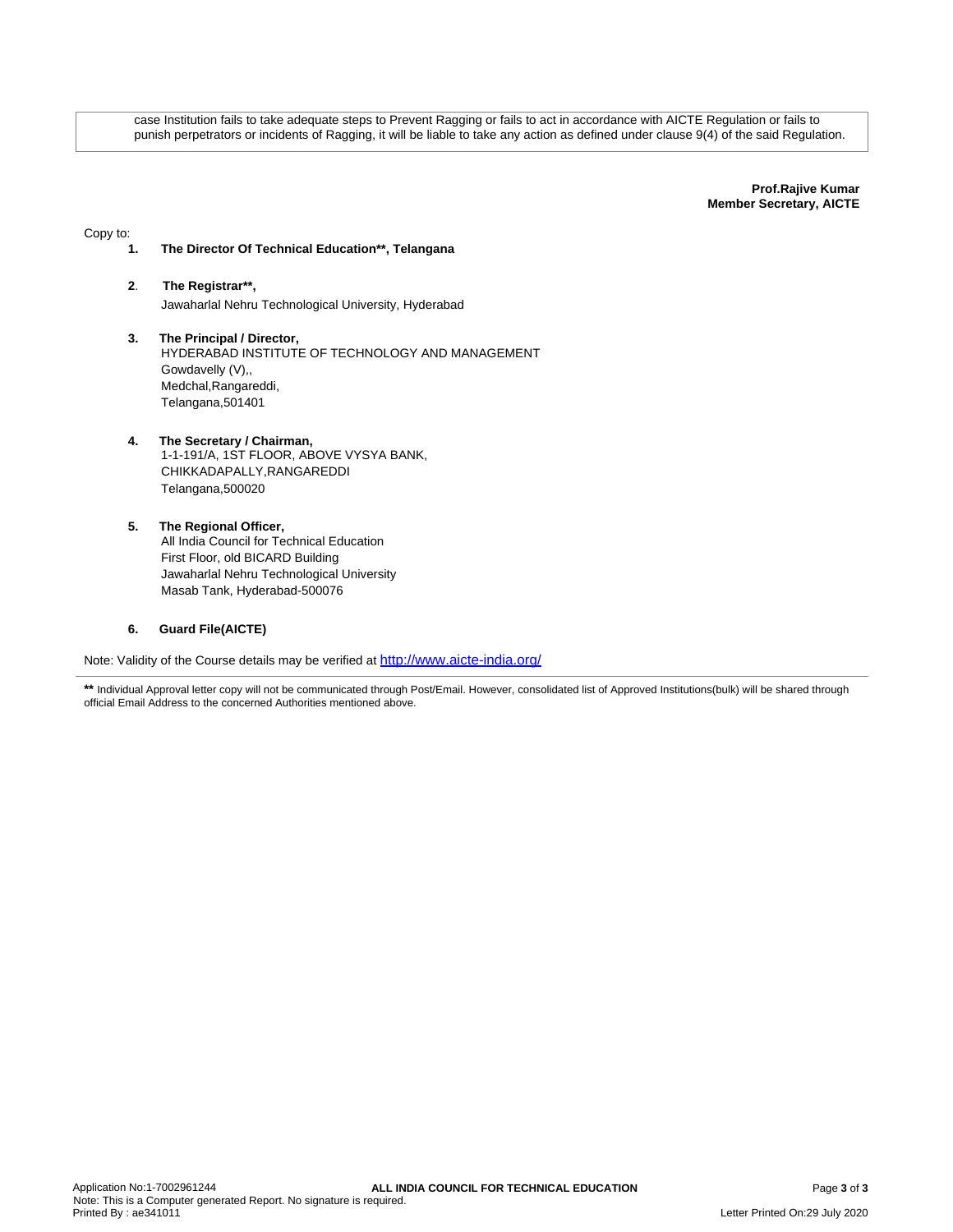case Institution fails to take adequate steps to Prevent Ragging or fails to act in accordance with AICTE Regulation or fails to punish perpetrators or incidents of Ragging, it will be liable to take any action as defined under clause 9(4) of the said Regulation.

> **Prof.Rajive Kumar Member Secretary, AICTE**

Copy to:

## **1. The Director Of Technical Education\*\*, Telangana**

- **2**. **The Registrar\*\*,** Jawaharlal Nehru Technological University, Hyderabad
- **3. The Principal / Director,** HYDERABAD INSTITUTE OF TECHNOLOGY AND MANAGEMENT Gowdavelly (V),, Medchal,Rangareddi, Telangana,501401

## **4. The Secretary / Chairman,** 1-1-191/A, 1ST FLOOR, ABOVE VYSYA BANK, CHIKKADAPALLY,RANGAREDDI Telangana,500020

**5. The Regional Officer,** All India Council for Technical Education First Floor, old BICARD Building Jawaharlal Nehru Technological University Masab Tank, Hyderabad-500076

## **6. Guard File(AICTE)**

Note: Validity of the Course details may be verified at <http://www.aicte-india.org/>

\*\* Individual Approval letter copy will not be communicated through Post/Email. However, consolidated list of Approved Institutions(bulk) will be shared through official Email Address to the concerned Authorities mentioned above.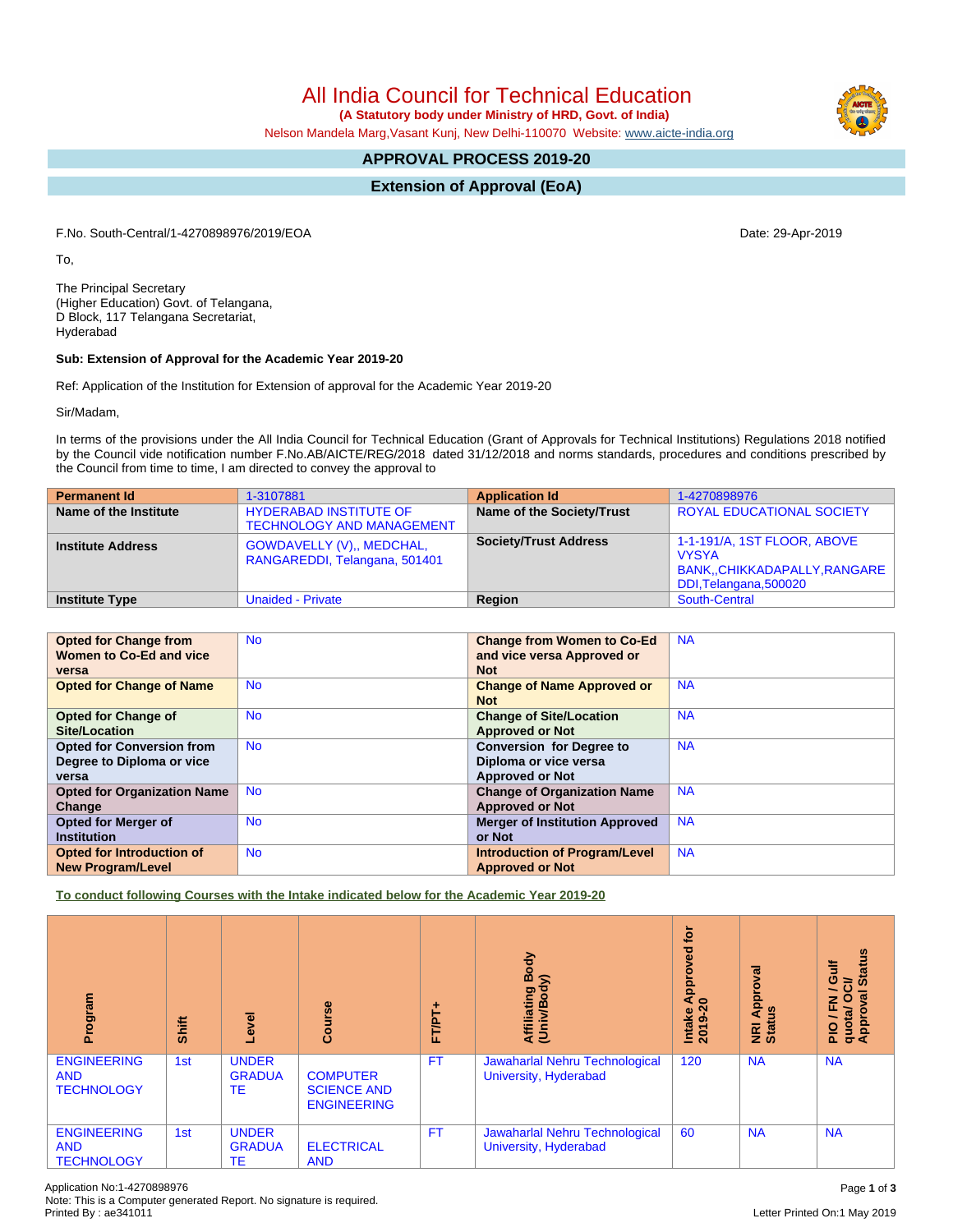**(A Statutory body under Ministry of HRD, Govt. of India)**

Nelson Mandela Marg,Vasant Kunj, New Delhi-110070 Website: [www.aicte-india.org](http://www.aicte-india.org)

## **APPROVAL PROCESS 2019-20**

**Extension of Approval (EoA)**

F.No. South-Central/1-4270898976/2019/EOA Date: 29-Apr-2019

To,

The Principal Secretary (Higher Education) Govt. of Telangana, D Block, 117 Telangana Secretariat, Hyderabad

## **Sub: Extension of Approval for the Academic Year 2019-20**

Ref: Application of the Institution for Extension of approval for the Academic Year 2019-20

Sir/Madam,

In terms of the provisions under the All India Council for Technical Education (Grant of Approvals for Technical Institutions) Regulations 2018 notified by the Council vide notification number F.No.AB/AICTE/REG/2018 dated 31/12/2018 and norms standards, procedures and conditions prescribed by the Council from time to time, I am directed to convey the approval to

| <b>Permanent Id</b>      | 1-3107881                                                         | <b>Application Id</b>        | 1-4270898976                                                                                           |
|--------------------------|-------------------------------------------------------------------|------------------------------|--------------------------------------------------------------------------------------------------------|
| Name of the Institute    | <b>HYDERABAD INSTITUTE OF</b><br><b>TECHNOLOGY AND MANAGEMENT</b> | Name of the Society/Trust    | <b>ROYAL EDUCATIONAL SOCIETY</b>                                                                       |
| <b>Institute Address</b> | <b>GOWDAVELLY (V),, MEDCHAL,</b><br>RANGAREDDI, Telangana, 501401 | <b>Society/Trust Address</b> | 1-1-191/A, 1ST FLOOR, ABOVE<br><b>VYSYA</b><br>BANK,, CHIKKADAPALLY, RANGARE<br>DDI, Telangana, 500020 |
| <b>Institute Type</b>    | <b>Unaided - Private</b>                                          | Region                       | South-Central                                                                                          |

| <b>Opted for Change from</b>       | <b>No</b> | <b>Change from Women to Co-Ed</b>     | <b>NA</b> |
|------------------------------------|-----------|---------------------------------------|-----------|
| Women to Co-Ed and vice            |           | and vice versa Approved or            |           |
| versa                              |           | <b>Not</b>                            |           |
| <b>Opted for Change of Name</b>    | <b>No</b> | <b>Change of Name Approved or</b>     | <b>NA</b> |
|                                    |           | <b>Not</b>                            |           |
| <b>Opted for Change of</b>         | <b>No</b> | <b>Change of Site/Location</b>        | <b>NA</b> |
| <b>Site/Location</b>               |           | <b>Approved or Not</b>                |           |
| <b>Opted for Conversion from</b>   | <b>No</b> | <b>Conversion for Degree to</b>       | <b>NA</b> |
| Degree to Diploma or vice          |           | Diploma or vice versa                 |           |
| versa                              |           | <b>Approved or Not</b>                |           |
| <b>Opted for Organization Name</b> | <b>No</b> | <b>Change of Organization Name</b>    | <b>NA</b> |
| Change                             |           | <b>Approved or Not</b>                |           |
| <b>Opted for Merger of</b>         | <b>No</b> | <b>Merger of Institution Approved</b> | <b>NA</b> |
| <b>Institution</b>                 |           | or Not                                |           |
| <b>Opted for Introduction of</b>   | <b>No</b> | <b>Introduction of Program/Level</b>  | <b>NA</b> |
| <b>New Program/Level</b>           |           | <b>Approved or Not</b>                |           |

**To conduct following Courses with the Intake indicated below for the Academic Year 2019-20**

| Program                                               | Shift | Level                                      | Course                                                      | FT/PT+    | Body<br>⋦<br>Affiliating<br>(Univ/Body                  | <b>b</b><br>yed<br>ē<br>윤<br>₹<br>$\circ$<br>Intake<br>ග<br>201 | roval<br>Appr<br>9ű<br>NRI<br>Statu | <b>Status</b><br>Ğulf<br>ಕ<br>∽<br>Ξ<br>J / FN<br>quota/ O<br>Approval |
|-------------------------------------------------------|-------|--------------------------------------------|-------------------------------------------------------------|-----------|---------------------------------------------------------|-----------------------------------------------------------------|-------------------------------------|------------------------------------------------------------------------|
| <b>ENGINEERING</b><br><b>AND</b><br><b>TECHNOLOGY</b> | 1st   | <b>UNDER</b><br><b>GRADUA</b><br>TE        | <b>COMPUTER</b><br><b>SCIENCE AND</b><br><b>ENGINEERING</b> | <b>FT</b> | Jawaharlal Nehru Technological<br>University, Hyderabad | 120                                                             | <b>NA</b>                           | <b>NA</b>                                                              |
| <b>ENGINEERING</b><br><b>AND</b><br><b>TECHNOLOGY</b> | 1st   | <b>UNDER</b><br><b>GRADUA</b><br><b>TE</b> | <b>ELECTRICAL</b><br><b>AND</b>                             | <b>FT</b> | Jawaharlal Nehru Technological<br>University, Hyderabad | 60                                                              | <b>NA</b>                           | <b>NA</b>                                                              |

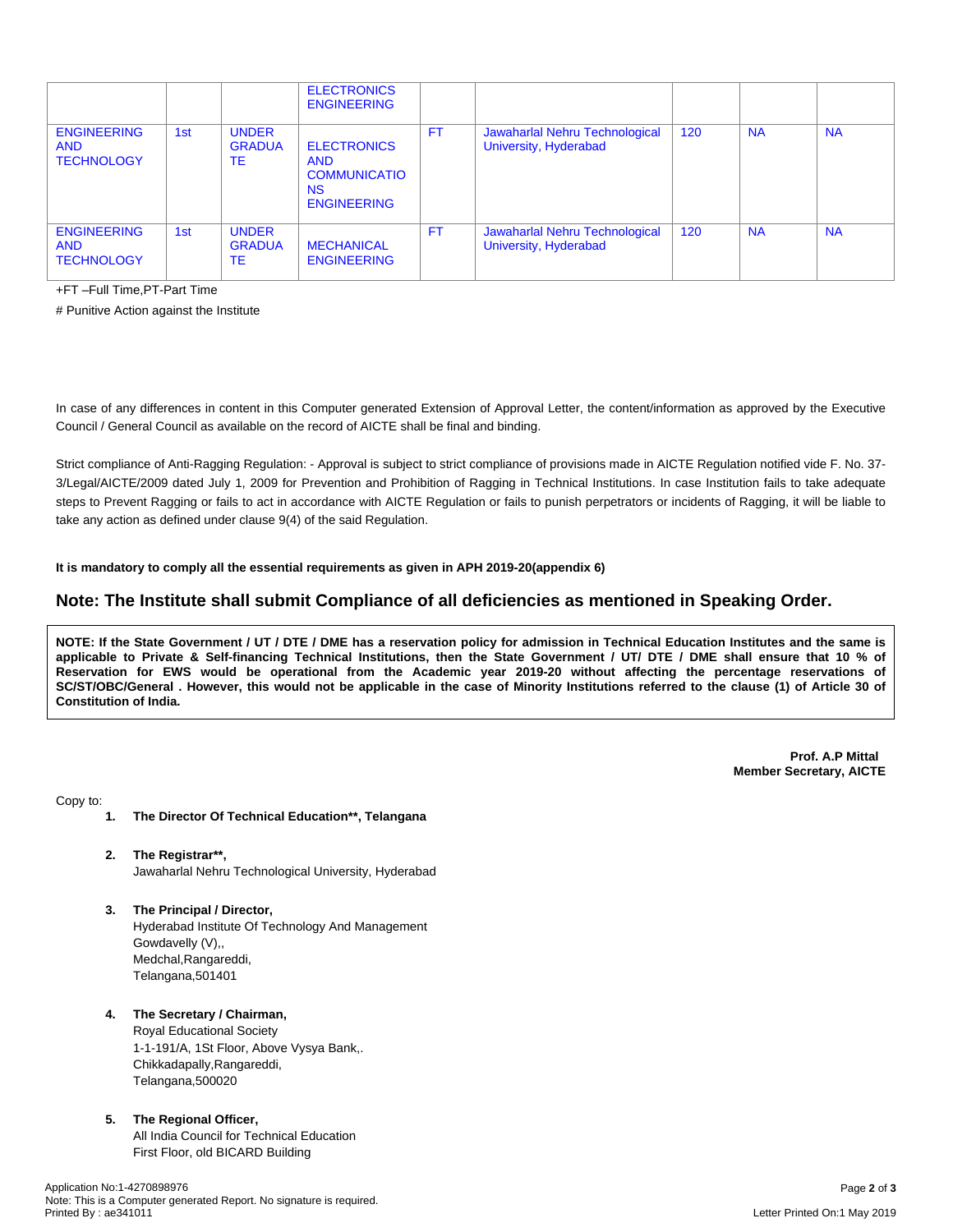|                                                       |     |                                     | <b>ELECTRONICS</b><br><b>ENGINEERING</b>                                                   |           |                                                         |     |           |           |
|-------------------------------------------------------|-----|-------------------------------------|--------------------------------------------------------------------------------------------|-----------|---------------------------------------------------------|-----|-----------|-----------|
| <b>ENGINEERING</b><br><b>AND</b><br><b>TECHNOLOGY</b> | 1st | <b>UNDER</b><br><b>GRADUA</b><br>ТE | <b>ELECTRONICS</b><br><b>AND</b><br><b>COMMUNICATIO</b><br><b>NS</b><br><b>ENGINEERING</b> | <b>FT</b> | Jawaharlal Nehru Technological<br>University, Hyderabad | 120 | <b>NA</b> | <b>NA</b> |
| <b>ENGINEERING</b><br><b>AND</b><br><b>TECHNOLOGY</b> | 1st | <b>UNDER</b><br><b>GRADUA</b><br>ТE | <b>MECHANICAL</b><br><b>ENGINEERING</b>                                                    | FT.       | Jawaharlal Nehru Technological<br>University, Hyderabad | 120 | <b>NA</b> | <b>NA</b> |

+FT –Full Time,PT-Part Time

# Punitive Action against the Institute

In case of any differences in content in this Computer generated Extension of Approval Letter, the content/information as approved by the Executive Council / General Council as available on the record of AICTE shall be final and binding.

Strict compliance of Anti-Ragging Regulation: - Approval is subject to strict compliance of provisions made in AICTE Regulation notified vide F. No. 37- 3/Legal/AICTE/2009 dated July 1, 2009 for Prevention and Prohibition of Ragging in Technical Institutions. In case Institution fails to take adequate steps to Prevent Ragging or fails to act in accordance with AICTE Regulation or fails to punish perpetrators or incidents of Ragging, it will be liable to take any action as defined under clause 9(4) of the said Regulation.

**It is mandatory to comply all the essential requirements as given in APH 2019-20(appendix 6)**

## **Note: The Institute shall submit Compliance of all deficiencies as mentioned in Speaking Order.**

NOTE: If the State Government / UT / DTE / DME has a reservation policy for admission in Technical Education Institutes and the same is applicable to Private & Self-financing Technical Institutions, then the State Government / UT/ DTE / DME shall ensure that 10 % of Reservation for EWS would be operational from the Academic year 2019-20 without affecting the percentage reservations of SC/ST/OBC/General . However, this would not be applicable in the case of Minority Institutions referred to the clause (1) of Article 30 of **Constitution of India.**

> **Prof. A.P Mittal Member Secretary, AICTE**

Copy to:

- **1. The Director Of Technical Education\*\*, Telangana**
- **2. The Registrar\*\*,** Jawaharlal Nehru Technological University, Hyderabad
- **3. The Principal / Director,** Hyderabad Institute Of Technology And Management Gowdavelly (V),, Medchal,Rangareddi, Telangana,501401

## **4. The Secretary / Chairman,**

Royal Educational Society 1-1-191/A, 1St Floor, Above Vysya Bank,. Chikkadapally,Rangareddi, Telangana,500020

## **5. The Regional Officer,**

All India Council for Technical Education First Floor, old BICARD Building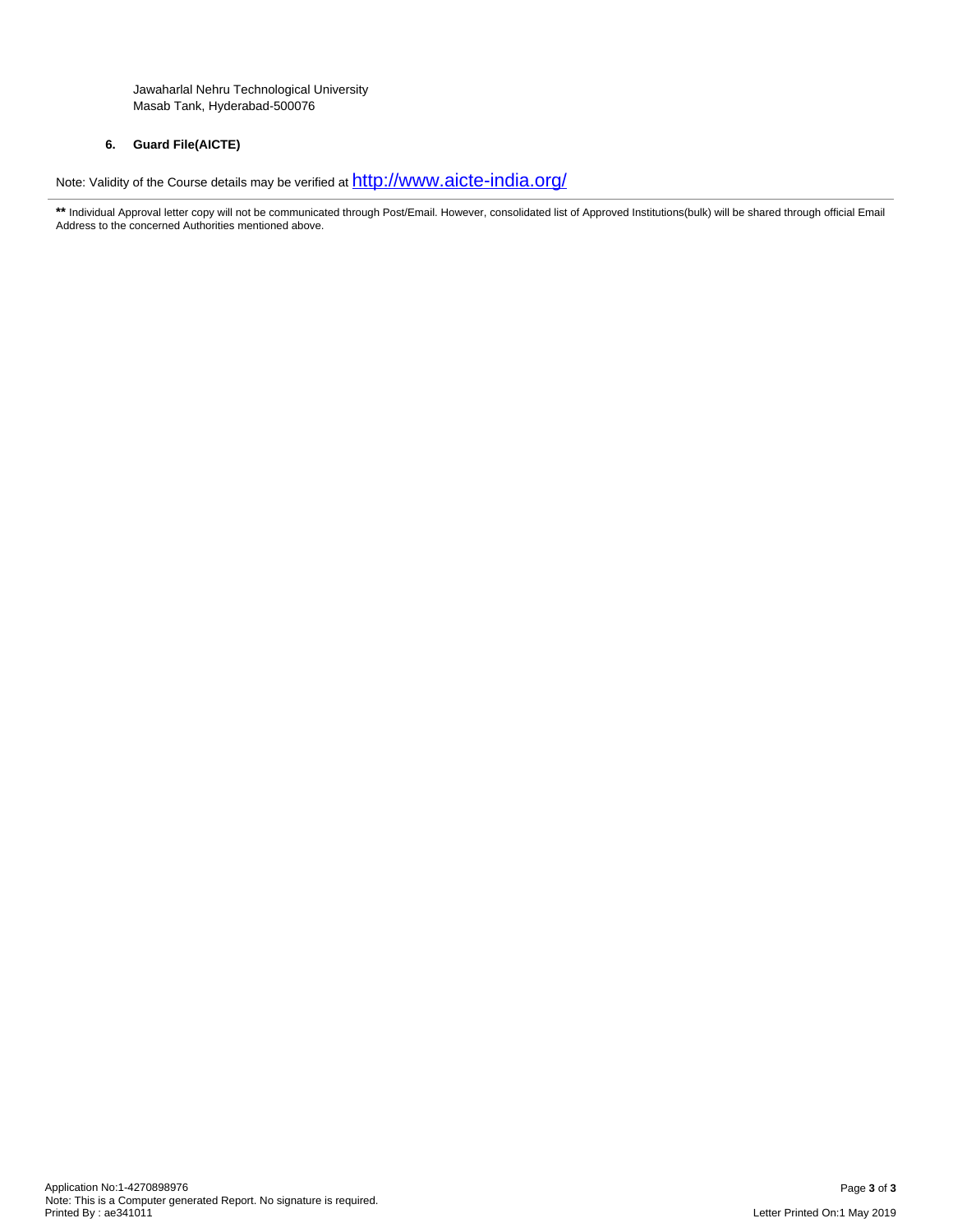Jawaharlal Nehru Technological University Masab Tank, Hyderabad-500076

## **6. Guard File(AICTE)**

Note: Validity of the Course details may be verified at  $\frac{http://www.aicte-india.org/}{http://www.aicte-india.org/}$  $\frac{http://www.aicte-india.org/}{http://www.aicte-india.org/}$  $\frac{http://www.aicte-india.org/}{http://www.aicte-india.org/}$ 

\*\* Individual Approval letter copy will not be communicated through Post/Email. However, consolidated list of Approved Institutions(bulk) will be shared through official Email Address to the concerned Authorities mentioned above.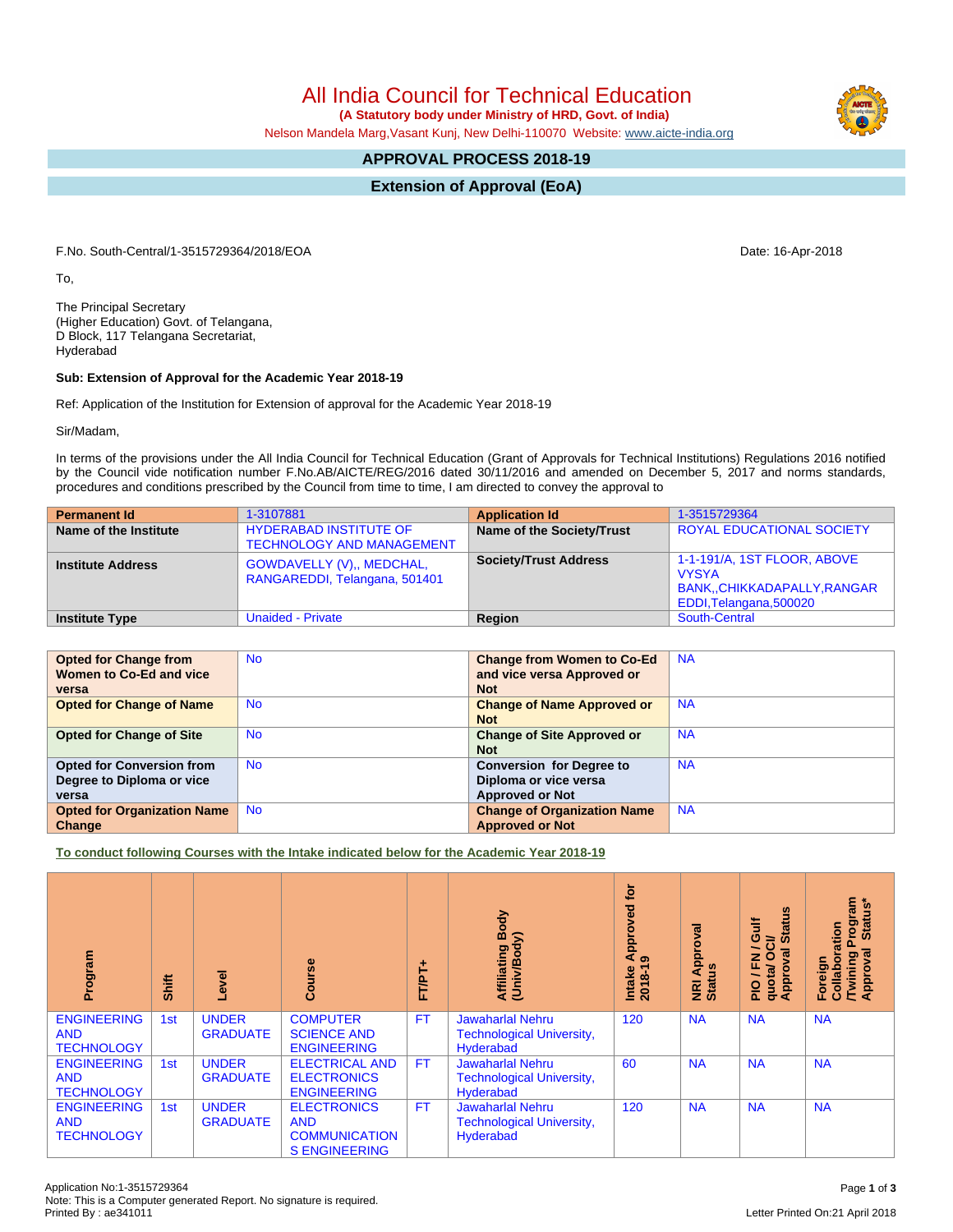**(A Statutory body under Ministry of HRD, Govt. of India)**

Nelson Mandela Marg,Vasant Kunj, New Delhi-110070 Website: [www.aicte-india.org](http://www.aicte-india.org)

## **APPROVAL PROCESS 2018-19**

**Extension of Approval (EoA)**

F.No. South-Central/1-3515729364/2018/EOA Date: 16-Apr-2018

To,

The Principal Secretary (Higher Education) Govt. of Telangana, D Block, 117 Telangana Secretariat, Hyderabad

## **Sub: Extension of Approval for the Academic Year 2018-19**

Ref: Application of the Institution for Extension of approval for the Academic Year 2018-19

Sir/Madam,

In terms of the provisions under the All India Council for Technical Education (Grant of Approvals for Technical Institutions) Regulations 2016 notified by the Council vide notification number F.No.AB/AICTE/REG/2016 dated 30/11/2016 and amended on December 5, 2017 and norms standards, procedures and conditions prescribed by the Council from time to time, I am directed to convey the approval to

| <b>Permanent Id</b>      | 1-3107881                                                         | <b>Application Id</b>        | 1-3515729364                                                                                           |
|--------------------------|-------------------------------------------------------------------|------------------------------|--------------------------------------------------------------------------------------------------------|
| Name of the Institute    | <b>HYDERABAD INSTITUTE OF</b><br><b>TECHNOLOGY AND MANAGEMENT</b> | Name of the Society/Trust    | ROYAL EDUCATIONAL SOCIETY                                                                              |
| <b>Institute Address</b> | GOWDAVELLY (V),, MEDCHAL,<br>RANGAREDDI, Telangana, 501401        | <b>Society/Trust Address</b> | 1-1-191/A, 1ST FLOOR, ABOVE<br><b>VYSYA</b><br>BANK,, CHIKKADAPALLY, RANGAR<br>EDDI, Telangana, 500020 |
| <b>Institute Type</b>    | <b>Unaided - Private</b>                                          | Region                       | South-Central                                                                                          |

| <b>Opted for Change from</b>       | <b>No</b> | <b>Change from Women to Co-Ed</b>  | <b>NA</b> |
|------------------------------------|-----------|------------------------------------|-----------|
| Women to Co-Ed and vice            |           | and vice versa Approved or         |           |
| versa                              |           | <b>Not</b>                         |           |
| <b>Opted for Change of Name</b>    | <b>No</b> | <b>Change of Name Approved or</b>  | <b>NA</b> |
|                                    |           | <b>Not</b>                         |           |
| <b>Opted for Change of Site</b>    | <b>No</b> | <b>Change of Site Approved or</b>  | <b>NA</b> |
|                                    |           | <b>Not</b>                         |           |
| <b>Opted for Conversion from</b>   | <b>No</b> | <b>Conversion for Degree to</b>    | <b>NA</b> |
| Degree to Diploma or vice          |           | Diploma or vice versa              |           |
| versa                              |           | <b>Approved or Not</b>             |           |
| <b>Opted for Organization Name</b> | <b>No</b> | <b>Change of Organization Name</b> | <b>NA</b> |
| Change                             |           | <b>Approved or Not</b>             |           |

**To conduct following Courses with the Intake indicated below for the Academic Year 2018-19**

| Program                                               | Shift | <b>Level</b>                    | rse<br>ပ္ပြ                                                                      | FT/PT+    | Body<br>Affiliating Be<br>(Univ/Body)                                    | tor<br>yed<br>Approv<br>ၜ<br>$2018 - 1$<br>Intake | Approval<br><b>Status</b><br>$\overline{g}$ | g<br>青<br><b>State</b><br>ဖ<br>ಕ<br>∽<br>Ō<br>g<br>준<br>quota/<br>Appro<br>$\frac{1}{2}$ | <b>rogram</b><br>Status*<br>Collaboration<br>ख़<br><b>Twining</b><br>Approval<br>Foreign |
|-------------------------------------------------------|-------|---------------------------------|----------------------------------------------------------------------------------|-----------|--------------------------------------------------------------------------|---------------------------------------------------|---------------------------------------------|------------------------------------------------------------------------------------------|------------------------------------------------------------------------------------------|
| <b>ENGINEERING</b><br><b>AND</b><br><b>TECHNOLOGY</b> | 1st   | <b>UNDER</b><br><b>GRADUATE</b> | <b>COMPUTER</b><br><b>SCIENCE AND</b><br><b>ENGINEERING</b>                      | <b>FT</b> | <b>Jawaharlal Nehru</b><br><b>Technological University,</b><br>Hyderabad | 120                                               | <b>NA</b>                                   | <b>NA</b>                                                                                | <b>NA</b>                                                                                |
| <b>ENGINEERING</b><br><b>AND</b><br><b>TECHNOLOGY</b> | 1st   | <b>UNDER</b><br><b>GRADUATE</b> | <b>ELECTRICAL AND</b><br><b>ELECTRONICS</b><br><b>ENGINEERING</b>                | FT.       | <b>Jawaharlal Nehru</b><br><b>Technological University,</b><br>Hyderabad | 60                                                | <b>NA</b>                                   | <b>NA</b>                                                                                | <b>NA</b>                                                                                |
| <b>ENGINEERING</b><br><b>AND</b><br><b>TECHNOLOGY</b> | 1st   | <b>UNDER</b><br><b>GRADUATE</b> | <b>ELECTRONICS</b><br><b>AND</b><br><b>COMMUNICATION</b><br><b>S ENGINEERING</b> | <b>FT</b> | <b>Jawaharlal Nehru</b><br><b>Technological University,</b><br>Hyderabad | 120                                               | <b>NA</b>                                   | <b>NA</b>                                                                                | <b>NA</b>                                                                                |

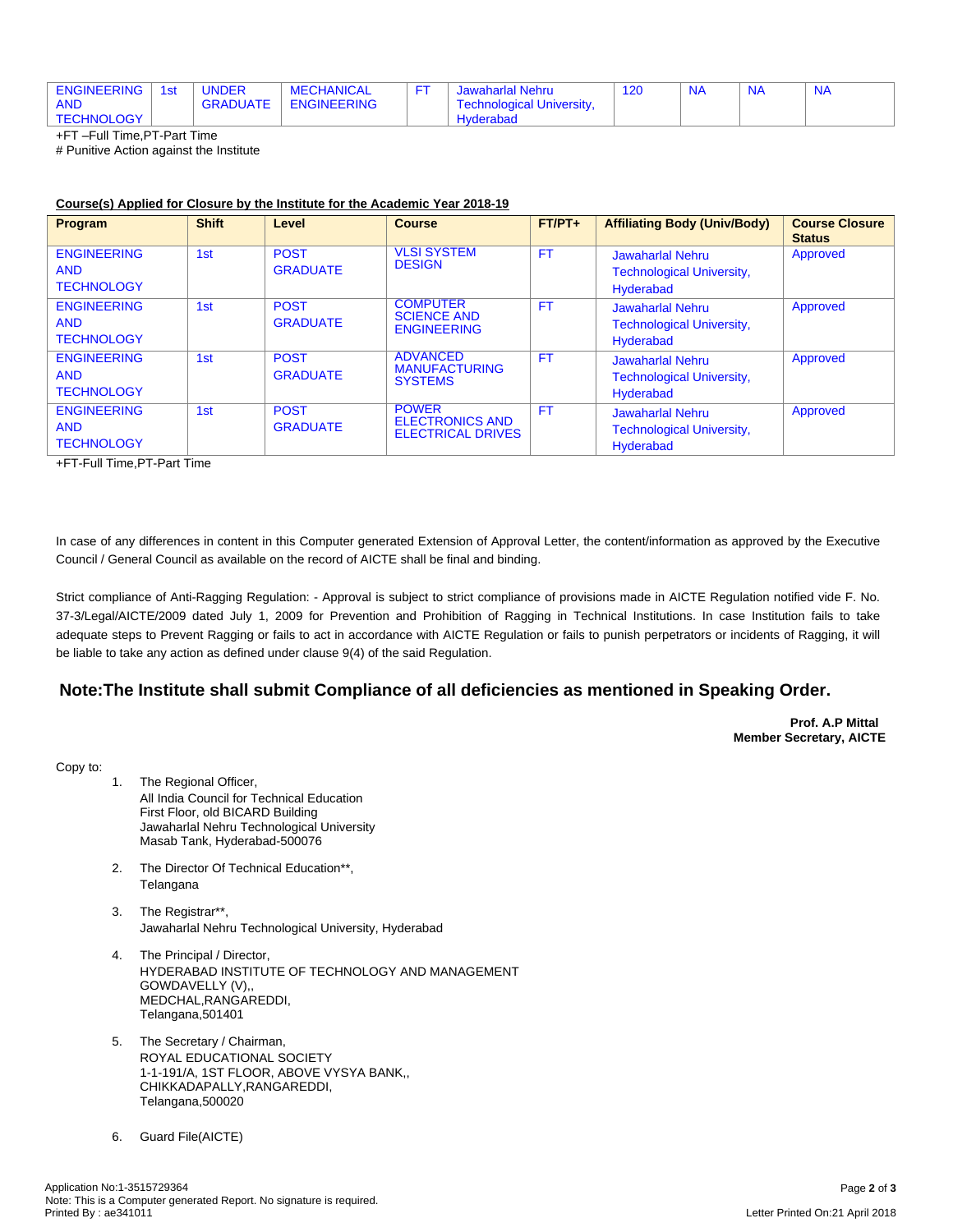| <b>ENGINEERING</b> | 1st | <b>UNDER</b>    | <b>MECHANICAL</b>  | Jawaharlal Nehru                 | <b>NA</b> | N | $N_A$ |
|--------------------|-----|-----------------|--------------------|----------------------------------|-----------|---|-------|
| <b>AND</b>         |     | <b>GRADUATE</b> | <b>ENGINEERING</b> | <b>Technological University,</b> |           |   |       |
| <b>TECHNOLOGY</b>  |     |                 |                    | <b>Hyderabad</b>                 |           |   |       |

+FT –Full Time,PT-Part Time

# Punitive Action against the Institute

## **Course(s) Applied for Closure by the Institute for the Academic Year 2018-19**

| Program                                               | <b>Shift</b>    | Level                          | <b>Course</b>                                                      | $FT/PT+$  | <b>Affiliating Body (Univ/Body)</b>                                      | <b>Course Closure</b><br><b>Status</b> |
|-------------------------------------------------------|-----------------|--------------------------------|--------------------------------------------------------------------|-----------|--------------------------------------------------------------------------|----------------------------------------|
| <b>ENGINEERING</b><br><b>AND</b><br><b>TECHNOLOGY</b> | 1 <sub>st</sub> | <b>POST</b><br><b>GRADUATE</b> | <b>VLSI SYSTEM</b><br><b>DESIGN</b>                                | <b>FT</b> | Jawaharlal Nehru<br><b>Technological University,</b><br>Hyderabad        | Approved                               |
| <b>ENGINEERING</b><br><b>AND</b><br><b>TECHNOLOGY</b> | 1 <sub>st</sub> | <b>POST</b><br><b>GRADUATE</b> | <b>COMPUTER</b><br><b>SCIENCE AND</b><br><b>ENGINEERING</b>        | <b>FT</b> | <b>Jawaharlal Nehru</b><br><b>Technological University,</b><br>Hyderabad | Approved                               |
| <b>ENGINEERING</b><br><b>AND</b><br><b>TECHNOLOGY</b> | 1 <sub>st</sub> | <b>POST</b><br><b>GRADUATE</b> | <b>ADVANCED</b><br><b>MANUFACTURING</b><br><b>SYSTEMS</b>          | <b>FT</b> | <b>Jawaharlal Nehru</b><br><b>Technological University,</b><br>Hyderabad | Approved                               |
| <b>ENGINEERING</b><br><b>AND</b><br><b>TECHNOLOGY</b> | 1 <sub>st</sub> | <b>POST</b><br><b>GRADUATE</b> | <b>POWER</b><br><b>ELECTRONICS AND</b><br><b>ELECTRICAL DRIVES</b> | <b>FT</b> | <b>Jawaharlal Nehru</b><br><b>Technological University,</b><br>Hyderabad | Approved                               |

+FT-Full Time,PT-Part Time

In case of any differences in content in this Computer generated Extension of Approval Letter, the content/information as approved by the Executive Council / General Council as available on the record of AICTE shall be final and binding.

Strict compliance of Anti-Ragging Regulation: - Approval is subject to strict compliance of provisions made in AICTE Regulation notified vide F. No. 37-3/Legal/AICTE/2009 dated July 1, 2009 for Prevention and Prohibition of Ragging in Technical Institutions. In case Institution fails to take adequate steps to Prevent Ragging or fails to act in accordance with AICTE Regulation or fails to punish perpetrators or incidents of Ragging, it will be liable to take any action as defined under clause 9(4) of the said Regulation.

## **Note:The Institute shall submit Compliance of all deficiencies as mentioned in Speaking Order.**

**Prof. A.P Mittal Member Secretary, AICTE**

Copy to:

- 1. The Regional Officer, All India Council for Technical Education First Floor, old BICARD Building Jawaharlal Nehru Technological University Masab Tank, Hyderabad-500076
- 2. The Director Of Technical Education\*\*, Telangana
- 3. The Registrar\*\*, Jawaharlal Nehru Technological University, Hyderabad
- 4. The Principal / Director, HYDERABAD INSTITUTE OF TECHNOLOGY AND MANAGEMENT GOWDAVELLY (V),, MEDCHAL,RANGAREDDI, Telangana,501401
- 5. The Secretary / Chairman, ROYAL EDUCATIONAL SOCIETY 1-1-191/A, 1ST FLOOR, ABOVE VYSYA BANK,, CHIKKADAPALLY,RANGAREDDI, Telangana,500020
- 6. Guard File(AICTE)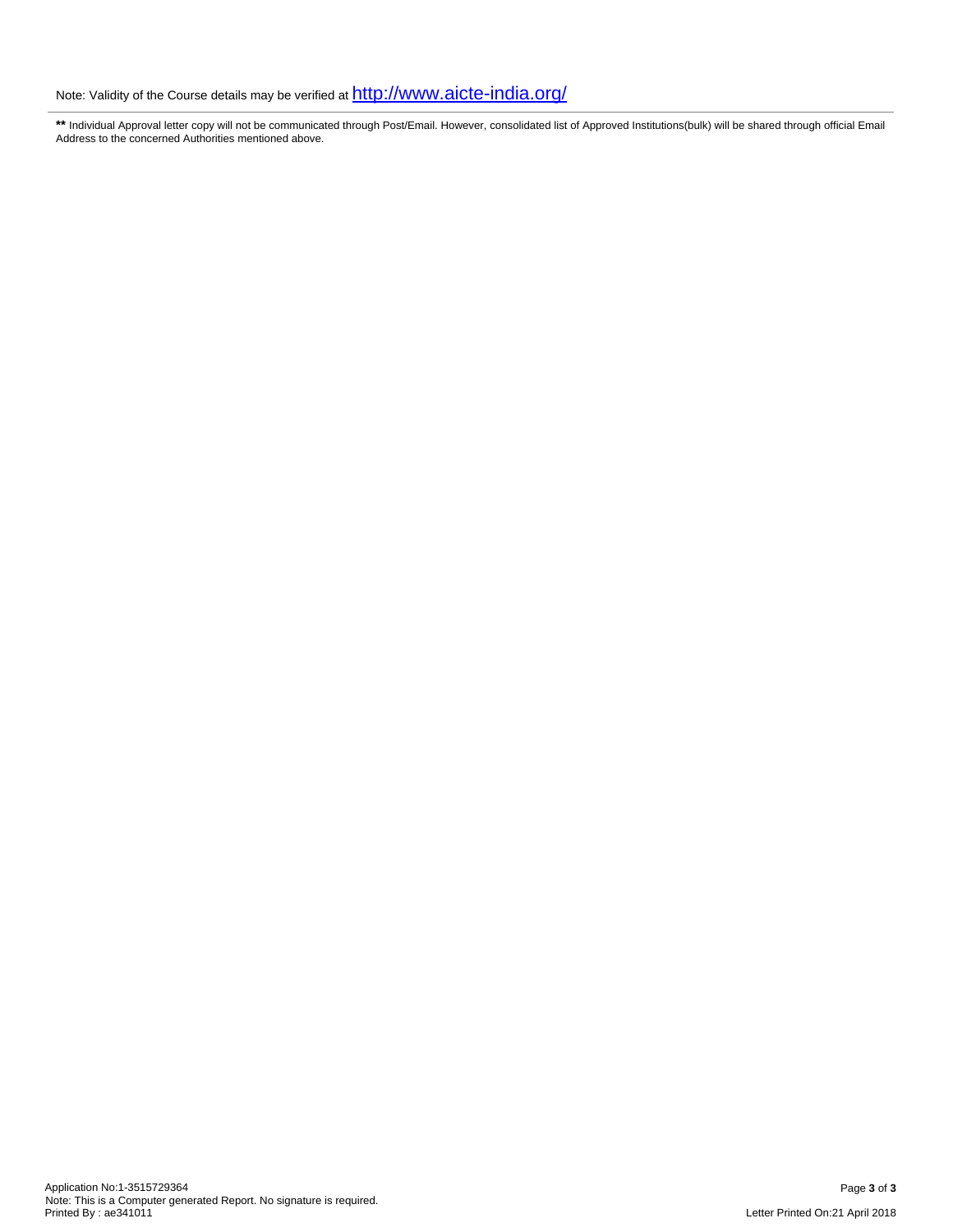**\*\*** Individual Approval letter copy will not be communicated through Post/Email. However, consolidated list of Approved Institutions(bulk) will be shared through official Email Address to the concerned Authorities mentioned above.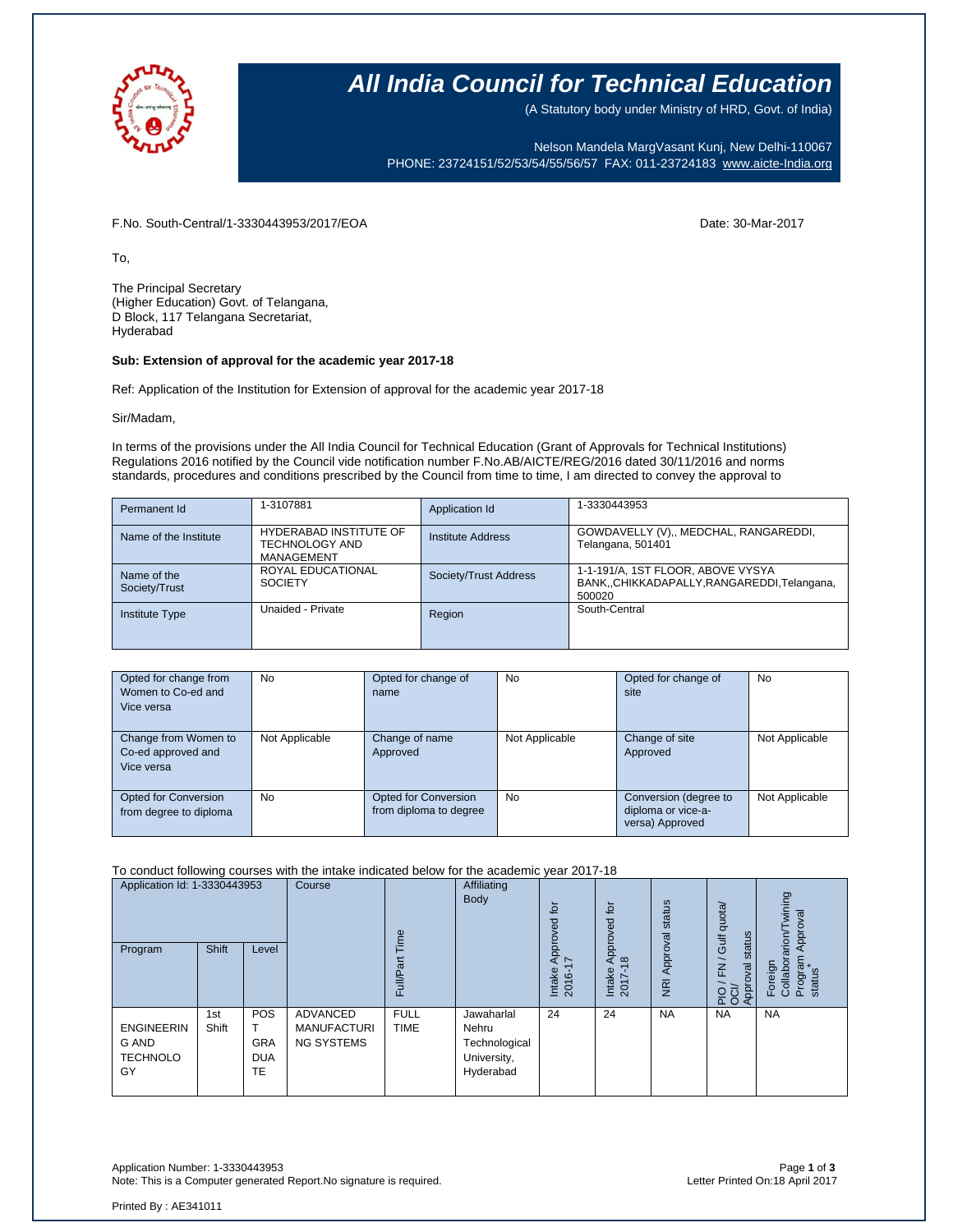

(A Statutory body under Ministry of HRD, Govt. of India)

Nelson Mandela MargVasant Kunj, New Delhi-110067 PHONE: 23724151/52/53/54/55/56/57 FAX: 011-23724183 [www.aicte-India.org](http://www.aicte-india.org/)

F.No. South-Central/1-3330443953/2017/EOA Date: 30-Mar-2017

To,

The Principal Secretary (Higher Education) Govt. of Telangana, D Block, 117 Telangana Secretariat, Hyderabad

### **Sub: Extension of approval for the academic year 2017-18**

Ref: Application of the Institution for Extension of approval for the academic year 2017-18

Sir/Madam,

In terms of the provisions under the All India Council for Technical Education (Grant of Approvals for Technical Institutions) Regulations 2016 notified by the Council vide notification number F.No.AB/AICTE/REG/2016 dated 30/11/2016 and norms standards, procedures and conditions prescribed by the Council from time to time, I am directed to convey the approval to

| Permanent Id                 | 1-3107881                                                     | Application Id        | 1-3330443953                                                                             |
|------------------------------|---------------------------------------------------------------|-----------------------|------------------------------------------------------------------------------------------|
| Name of the Institute        | <b>HYDERABAD INSTITUTE OF</b><br>TECHNOLOGY AND<br>MANAGEMENT | Institute Address     | GOWDAVELLY (V),, MEDCHAL, RANGAREDDI,<br>Telangana, 501401                               |
| Name of the<br>Society/Trust | ROYAL EDUCATIONAL<br><b>SOCIETY</b>                           | Society/Trust Address | 1-1-191/A, 1ST FLOOR, ABOVE VYSYA<br>BANK,,CHIKKADAPALLY,RANGAREDDI,Telangana,<br>500020 |
| <b>Institute Type</b>        | Unaided - Private                                             | Region                | South-Central                                                                            |

| Opted for change from<br>Women to Co-ed and<br>Vice versa | <b>No</b>      | Opted for change of<br>name                    | <b>No</b>      | Opted for change of<br>site                                    | No             |
|-----------------------------------------------------------|----------------|------------------------------------------------|----------------|----------------------------------------------------------------|----------------|
| Change from Women to<br>Co-ed approved and<br>Vice versa  | Not Applicable | Change of name<br>Approved                     | Not Applicable | Change of site<br>Approved                                     | Not Applicable |
| <b>Opted for Conversion</b><br>from degree to diploma     | No.            | Opted for Conversion<br>from diploma to degree | <b>No</b>      | Conversion (degree to<br>diploma or vice-a-<br>versa) Approved | Not Applicable |

To conduct following courses with the intake indicated below for the academic year 2017-18

| Application Id: 1-3330443953<br>Program             | <b>Shift</b> | Level                                        | Course                                              | jme<br>Full/Par            | Affiliating<br>Body                                              | tō<br>Approved<br>∼<br>Intake<br>Ó<br>201 | tō<br>roved<br>ā<br>$\infty$<br>Intake<br>$2017 -$ | status<br>Approval<br>$\overline{R}$ | Gulf quota/<br>status<br>$\overline{\phantom{0}}$<br>준<br>Approval<br>$\overline{Q}$ ਹੁੰ<br>$\overline{a}$ $\overline{o}$ | wining<br>pproval<br>arion<br>Program<br>Foreign<br>Collabor<br>status |
|-----------------------------------------------------|--------------|----------------------------------------------|-----------------------------------------------------|----------------------------|------------------------------------------------------------------|-------------------------------------------|----------------------------------------------------|--------------------------------------|---------------------------------------------------------------------------------------------------------------------------|------------------------------------------------------------------------|
| <b>ENGINEERIN</b><br>G AND<br><b>TECHNOLO</b><br>GY | 1st<br>Shift | <b>POS</b><br><b>GRA</b><br><b>DUA</b><br>TE | ADVANCED<br><b>MANUFACTURI</b><br><b>NG SYSTEMS</b> | <b>FULL</b><br><b>TIME</b> | Jawaharlal<br>Nehru<br>Technological<br>University,<br>Hyderabad | 24                                        | 24                                                 | <b>NA</b>                            | <b>NA</b>                                                                                                                 | <b>NA</b>                                                              |

Application Number: 1-3330443953 Page **1** of **3** Note: This is a Computer generated Report.No signature is required.

Printed By : AE341011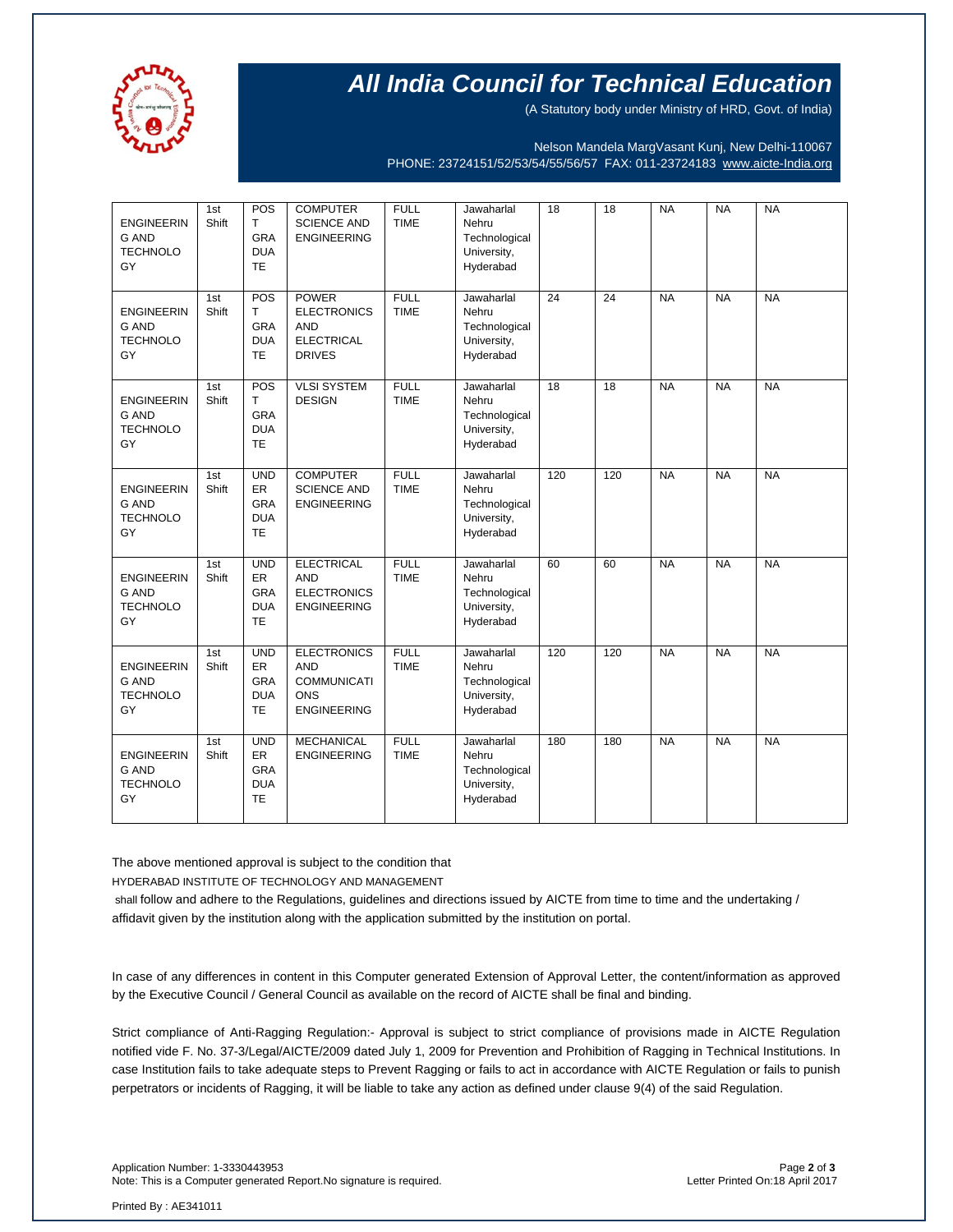

(A Statutory body under Ministry of HRD, Govt. of India)

Nelson Mandela MargVasant Kunj, New Delhi-110067 PHONE: 23724151/52/53/54/55/56/57 FAX: 011-23724183 [www.aicte-India.org](http://www.aicte-india.org/)

| <b>ENGINEERIN</b><br><b>G AND</b><br><b>TECHNOLO</b><br>GY | 1st<br>Shift | POS<br>T<br>GRA<br><b>DUA</b><br><b>TE</b>                   | <b>COMPUTER</b><br><b>SCIENCE AND</b><br><b>ENGINEERING</b>                                | <b>FULL</b><br><b>TIME</b> | Jawaharlal<br>Nehru<br>Technological<br>University,<br>Hyderabad | $\overline{18}$ | $\overline{18}$ | <b>NA</b> | <b>NA</b> | <b>NA</b> |
|------------------------------------------------------------|--------------|--------------------------------------------------------------|--------------------------------------------------------------------------------------------|----------------------------|------------------------------------------------------------------|-----------------|-----------------|-----------|-----------|-----------|
| <b>ENGINEERIN</b><br><b>G AND</b><br><b>TECHNOLO</b><br>GY | 1st<br>Shift | POS<br>T<br>GRA<br><b>DUA</b><br>TE                          | <b>POWER</b><br><b>ELECTRONICS</b><br><b>AND</b><br><b>ELECTRICAL</b><br><b>DRIVES</b>     | <b>FULL</b><br><b>TIME</b> | Jawaharlal<br>Nehru<br>Technological<br>University,<br>Hyderabad | $\overline{24}$ | $\overline{24}$ | <b>NA</b> | <b>NA</b> | <b>NA</b> |
| <b>ENGINEERIN</b><br><b>G AND</b><br><b>TECHNOLO</b><br>GY | 1st<br>Shift | POS<br>$\mathsf{T}$<br><b>GRA</b><br><b>DUA</b><br><b>TE</b> | <b>VLSI SYSTEM</b><br><b>DESIGN</b>                                                        | <b>FULL</b><br><b>TIME</b> | Jawaharlal<br>Nehru<br>Technological<br>University,<br>Hyderabad | $\overline{18}$ | $\overline{18}$ | <b>NA</b> | <b>NA</b> | <b>NA</b> |
| <b>ENGINEERIN</b><br><b>G AND</b><br><b>TECHNOLO</b><br>GY | 1st<br>Shift | <b>UND</b><br>ER<br><b>GRA</b><br><b>DUA</b><br><b>TE</b>    | <b>COMPUTER</b><br><b>SCIENCE AND</b><br><b>ENGINEERING</b>                                | <b>FULL</b><br><b>TIME</b> | Jawaharlal<br>Nehru<br>Technological<br>University,<br>Hyderabad | 120             | 120             | <b>NA</b> | <b>NA</b> | <b>NA</b> |
| <b>ENGINEERIN</b><br><b>G AND</b><br><b>TECHNOLO</b><br>GY | 1st<br>Shift | <b>UND</b><br>ER<br><b>GRA</b><br><b>DUA</b><br><b>TE</b>    | <b>ELECTRICAL</b><br><b>AND</b><br><b>ELECTRONICS</b><br><b>ENGINEERING</b>                | <b>FULL</b><br><b>TIME</b> | Jawaharlal<br>Nehru<br>Technological<br>University,<br>Hyderabad | 60              | 60              | <b>NA</b> | <b>NA</b> | <b>NA</b> |
| <b>ENGINEERIN</b><br><b>G AND</b><br><b>TECHNOLO</b><br>GY | 1st<br>Shift | <b>UND</b><br>ER<br><b>GRA</b><br><b>DUA</b><br><b>TE</b>    | <b>ELECTRONICS</b><br><b>AND</b><br><b>COMMUNICATI</b><br><b>ONS</b><br><b>ENGINEERING</b> | <b>FULL</b><br><b>TIME</b> | Jawaharlal<br>Nehru<br>Technological<br>University,<br>Hyderabad | 120             | 120             | <b>NA</b> | <b>NA</b> | <b>NA</b> |
| <b>ENGINEERIN</b><br><b>G AND</b><br><b>TECHNOLO</b><br>GY | 1st<br>Shift | <b>UND</b><br>ER<br><b>GRA</b><br><b>DUA</b><br><b>TE</b>    | <b>MECHANICAL</b><br><b>ENGINEERING</b>                                                    | <b>FULL</b><br><b>TIME</b> | Jawaharlal<br>Nehru<br>Technological<br>University,<br>Hyderabad | 180             | 180             | <b>NA</b> | <b>NA</b> | <b>NA</b> |

The above mentioned approval is subject to the condition that

HYDERABAD INSTITUTE OF TECHNOLOGY AND MANAGEMENT

shall follow and adhere to the Regulations, guidelines and directions issued by AICTE from time to time and the undertaking / affidavit given by the institution along with the application submitted by the institution on portal.

In case of any differences in content in this Computer generated Extension of Approval Letter, the content/information as approved by the Executive Council / General Council as available on the record of AICTE shall be final and binding.

Strict compliance of Anti-Ragging Regulation:- Approval is subject to strict compliance of provisions made in AICTE Regulation notified vide F. No. 37-3/Legal/AICTE/2009 dated July 1, 2009 for Prevention and Prohibition of Ragging in Technical Institutions. In case Institution fails to take adequate steps to Prevent Ragging or fails to act in accordance with AICTE Regulation or fails to punish perpetrators or incidents of Ragging, it will be liable to take any action as defined under clause 9(4) of the said Regulation.